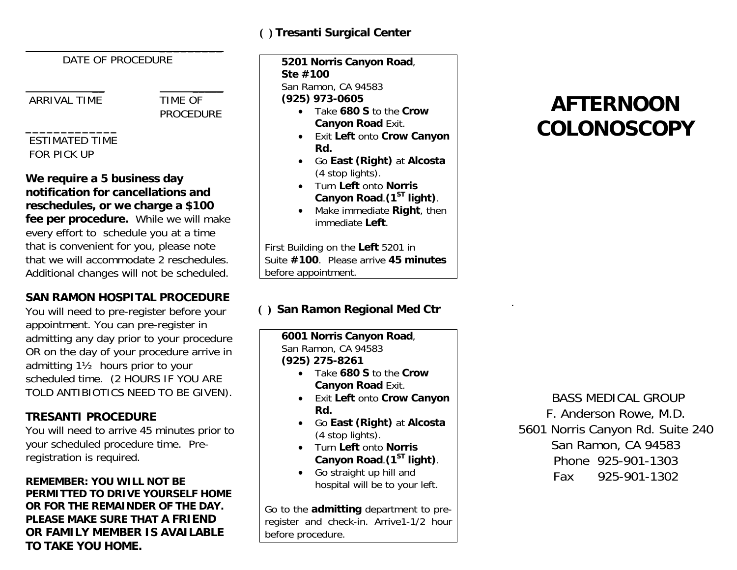### **( ) Tresanti Surgical Center**

DATE OF PROCEDURE

 **\_\_\_\_\_\_\_\_\_**

\_\_ \_\_\_\_\_

ARRIVAL TIME TIME OF

**PROCEDURE** 

#### **\_\_\_\_\_\_\_\_\_\_\_\_\_**  ESTIMATED TIME FOR PICK UP

**We require a 5 business day notification for cancellations and reschedules, or we charge a \$100 fee per procedure.** While we will make every effort to schedule you at a time that is convenient for you, please note that we will accommodate 2 reschedules. Additional changes will not be scheduled.

# **SAN RAMON HOSPITAL PROCEDURE**

You will need to pre-register before your appointment. You can pre-register in admitting any day prior to your procedure OR on the day of your procedure arrive in admitting 1½ hours prior to your scheduled time. (2 HOURS IF YOU ARE TOLD ANTIBIOTICS NEED TO BE GIVEN).

## **TRESANTI PROCEDURE**

You will need to arrive 45 minutes prior to your scheduled procedure time. Preregistration is required.

#### **REMEMBER: YOU WILL NOT BE PERMITTED TO DRIVE YOURSELF HOME OR FOR THE REMAINDER OF THE DAY. PLEASE MAKE SURE THAT A FRIEND OR FAMILY MEMBER IS AVAILABLE TO TAKE YOU HOME.**

**5201 Norris Canyon Road**, **Ste #100**San Ramon, CA 94583 **(925) 973-0605**

- Take **680 S** to the **Crow Canyon Road** Exit.
- Exit **Left** onto **Crow Canyon Rd.**
- Go **East (Right)** at **Alcosta**  (4 stop lights).
- Turn **Left** onto **Norris Canyon Road**.**(1ST light)**.
- Make immediate **Right**, then immediate **Left**.

First Building on the **Left** 5201 in Suite **#100**. Please arrive **45 minutes**before appointment.

# **( ) San Ramon Regional Med Ctr**

**6001 Norris Canyon Road**, San Ramon, CA 94583

**(925) 275-8261**

- Take **680 S** to the **Crow Canyon Road** Exit.
- Exit **Left** onto **Crow Canyon Rd.**
- Go **East (Right)** at **Alcosta**  (4 stop lights).
- Turn **Left** onto **Norris Canyon Road**.**(1ST light)**.
- Go straight up hill and hospital will be to your left.

Go to the **admitting** department to preregister and check-in. Arrive1-1/2 hour before procedure.

.

 BASS MEDICAL GROUP F. Anderson Rowe, M.D. 5601 Norris Canyon Rd. Suite 240 San Ramon, CA 94583 Phone 925-901-1303Fax 925-901-1302

# **AFTERNOON COLONOSCOPY**